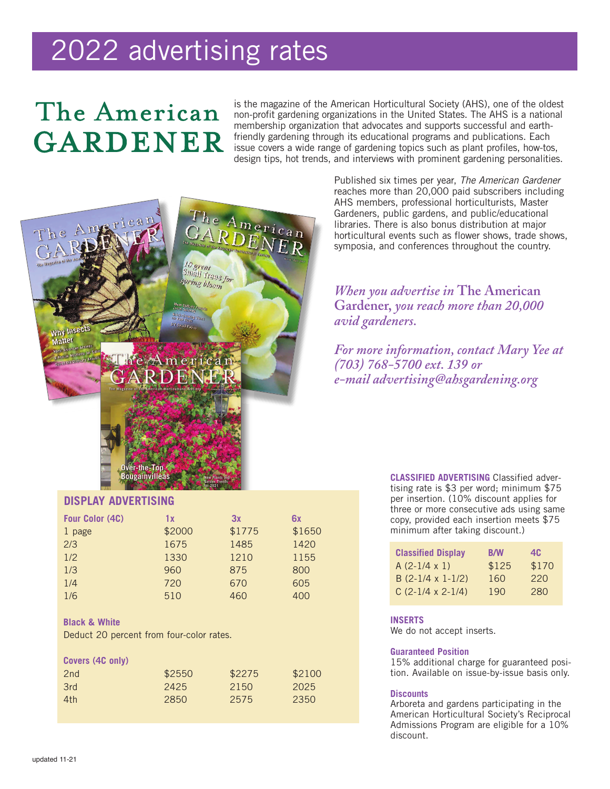# 2022 advertising rates

## The American GARDENER

is the magazine of the American Horticultural Society (AHS), one of the oldest non-profit gardening organizations in the United States. The AHS is a national membership organization that advocates and supports successful and earthfriendly gardening through its educational programs and publications. Each issue covers a wide range of gardening topics such as plant profiles, how-tos, design tips, hot trends, and interviews with prominent gardening personalities.



Published six times per year, *The American Gardener* reaches more than 20,000 paid subscribers including AHS members, professional horticulturists, Master Gardeners, public gardens, and public/educational libraries. There is also bonus distribution at major horticultural events such as flower shows, trade shows, symposia, and conferences throughout the country.

*When you advertise in* **The American Gardener,** *you reach more than 20,000 avid gardeners.*

*For more information, contact Mary Yee at (703) 768-5700 ext. 139 or e-mail advertising@ahsgardening.org*

## **DISPLAY ADVERTISING**

| Four Color (4C) | 1 x    | 3x     | 6x     |
|-----------------|--------|--------|--------|
| 1 page          | \$2000 | \$1775 | \$1650 |
| 2/3             | 1675   | 1485   | 1420   |
| 1/2             | 1330   | 1210   | 1155   |
| 1/3             | 960    | 875    | 800    |
| 1/4             | 720    | 670    | 605    |
| 1/6             | 510    | 460    | 400    |

## **Black & White**

Deduct 20 percent from four-color rates.

| Covers (4C only) |        |        |        |
|------------------|--------|--------|--------|
| 2nd              | \$2550 | \$2275 | \$2100 |
| 3rd              | 2425   | 2150   | 2025   |
| 4th              | 2850   | 2575   | 2350   |
|                  |        |        |        |

**CLASSIFIED ADVERTISING** Classified advertising rate is \$3 per word; minimum \$75 per insertion. (10% discount applies for three or more consecutive ads using same copy, provided each insertion meets \$75 minimum after taking discount.)

| <b>Classified Display</b> | <b>B/W</b> | 4C    |
|---------------------------|------------|-------|
| $A(2-1/4 \times 1)$       | \$125      | \$170 |
| $B(2-1/4 \times 1-1/2)$   | 160        | 220   |
| $C(2-1/4 \times 2-1/4)$   | 190        | 280   |

## **INSERTS**

We do not accept inserts.

#### **Guaranteed Position**

15% additional charge for guaranteed position. Available on issue-by-issue basis only.

#### **Discounts**

Arboreta and gardens participating in the American Horticultural Society's Reciprocal Admissions Program are eligible for a 10% discount.